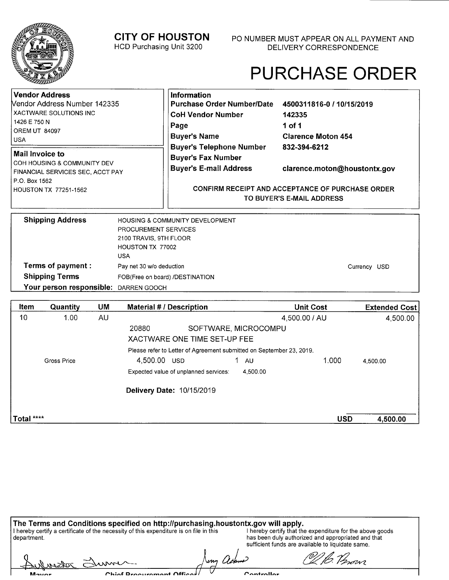**CITY OF HOUSTON** 

HCD Purchasing Unit 3200

## PURCHASE ORDER

| Vendor Address<br><b>Nendor Address Number 142335</b>                                                 | <b>Information</b><br>Purchase Order Number/Date 4500311816-0 / 10/15/2019                    |                                               |  |
|-------------------------------------------------------------------------------------------------------|-----------------------------------------------------------------------------------------------|-----------------------------------------------|--|
| XACTWARE SOLUTIONS INC<br>1426 E 750 N<br><b>OREM UT 84097</b><br>l USA                               | <b>CoH Vendor Number</b><br>Page<br><b>Buyer's Name</b>                                       | 142335<br>1 of 1<br><b>Clarence Moton 454</b> |  |
| Mail Invoice to<br>I COH HOUSING & COMMUNITY DEV<br>FINANCIAL SERVICES SEC. ACCT PAY<br>P.O. Box 1562 | <b>Buyer's Telephone Number</b><br><b>Buyer's Fax Number</b><br><b>Buyer's E-mail Address</b> | 832-394-6212<br>clarence.moton@houstontx.gov  |  |
| HOUSTON TX 77251-1562                                                                                 | <b>CONFIRM RECEIPT AND ACCEPTANCE OF PURCHASE ORDER</b><br>TO BUYER'S E-MAIL ADDRESS          |                                               |  |
| <b>Shipping Address</b>                                                                               | <b>HOUSING &amp; COMMUNITY DEVELOPMENT</b>                                                    |                                               |  |

| <b>Shipping Address</b>               | HOUSING & COMMUNITY DEVELOPMENT |              |
|---------------------------------------|---------------------------------|--------------|
|                                       | <b>PROCUREMENT SERVICES</b>     |              |
|                                       | 2100 TRAVIS, 9TH FLOOR          |              |
|                                       | HOUSTON TX 77002                |              |
|                                       | <b>USA</b>                      |              |
| Terms of payment :                    | Pay net 30 w/o deduction        | Currency USD |
| <b>Shipping Terms</b>                 | FOB(Free on board) /DESTINATION |              |
| Your person responsible: DARREN GOOCH |                                 |              |

| Item        | Quantity    | <b>UM</b> | <b>Material # / Description</b>                                      |           | <b>Unit Cost</b> | <b>Extended Cost</b> |
|-------------|-------------|-----------|----------------------------------------------------------------------|-----------|------------------|----------------------|
| 10          | 1.00        | AU        |                                                                      |           | 4,500.00 / AU    | 4,500.00             |
|             |             |           | 20880<br>SOFTWARE, MICROCOMPU                                        |           |                  |                      |
|             |             |           | XACTWARE ONE TIME SET-UP FEE                                         |           |                  |                      |
|             |             |           | Please refer to Letter of Agreement submitted on September 23, 2019. |           |                  |                      |
|             | Gross Price |           | 1.<br>4,500.00 USD                                                   | <b>AU</b> | 1.000            | 4.500.00             |
|             |             |           | Expected value of unplanned services:                                | 4.500.00  |                  |                      |
|             |             |           | Delivery Date: 10/15/2019                                            |           |                  |                      |
|             |             |           |                                                                      |           |                  |                      |
| 'Total **** |             |           |                                                                      |           | <b>USD</b>       | 4,500.00             |

|                | The Terms and Conditions specified on http://purchasing.houstontx.gov will apply.      |                                                                                                                                                                      |  |
|----------------|----------------------------------------------------------------------------------------|----------------------------------------------------------------------------------------------------------------------------------------------------------------------|--|
| department.    | I hereby certify a certificate of the necessity of this expenditure is on file in this | I hereby certify that the expenditure for the above goods<br>has been duly authorized and appropriated and that<br>sufficient funds are available to liquidate same. |  |
| Aulmator Elume |                                                                                        | VI B. Person                                                                                                                                                         |  |
| Mover          | Chief Dreeurement Officer                                                              | $C$ ontrollor                                                                                                                                                        |  |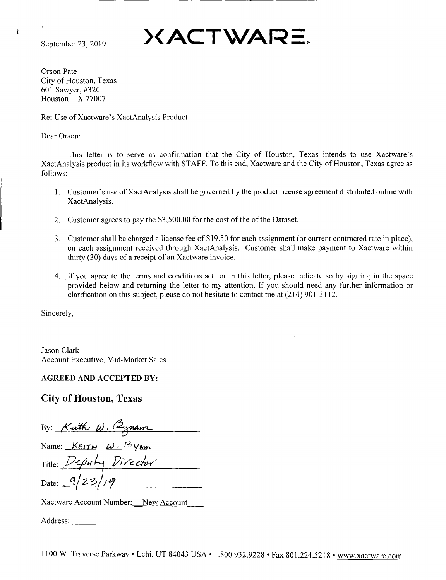Ť

September 23, 2019  $\mathsf{XACTWATE}$ 

Orson Pate City of Houston, Texas 601 Sawyer, #320 Houston, TX 77007

Re: Use of Xactware's XactAnalysis Product

Dear Orson:

This letter is to serve as confirmation that the City of Houston, Texas intends to use Xactware's XactAnalysis product in its workflow with STAFF. To this end, Xactware and the City of Houston, Texas agree as follows:

- 1. Customer's use of XactAnalysis shall be governed by the product license agreement distributed online with XactAnalysis.
- 2. Customer agrees to pay the \$3,500.00 for the cost of the of the Dataset.
- 3. Customer shall be charged a license fee of\$19.50 for each assignment (or current contracted rate in place), on each assignment received through XactAnalysis. Customer shall make payment to Xactware within thirty (30) days of a receipt of an Xactware invoice.
- 4. If you agree to the terms and conditions set for in this letter, please indicate so by signing in the space provided below and returning the letter to my attention. If you should need any further information or clarification on this subject, please do not hesitate to contact me at (214) 901-3112.

Sincerely,

Jason Clark Account Executive, Mid-Market Sales

**AGREED AND ACCEPTED BY:** 

## **City of Houston, Texas**

By: *Kuth W. (3ynam* Name:  $KE1TH$  *W.*  $F2VM$ Title: Deputy Director Date:  $9/23$ Xactware Account Number: New Account

Address: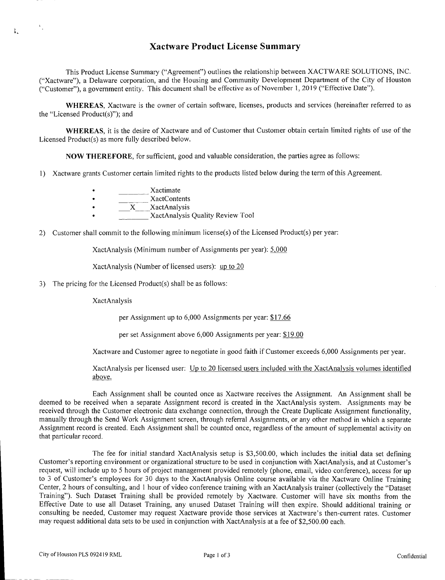## **Xactware Product License Summary**

This Product License Summary ("Agreement") outlines the relationship between XACTWARE SOLUTIONS, INC. ("Xactware"), a Delaware corporation, and the Housing and Community Development Department of the City of Houston ("Customer"), a government entity. This document shall be effective as of November 1, 2019 ("Effective Date").

**WHEREAS,** Xactware is the owner of certain software, licenses, products and services (hereinafter referred to as the "Licensed Product(s)"); and

**WHEREAS,** it is the desire of Xactware and of Customer that Customer obtain certain limited rights of use of the Licensed Product(s) as more fully described below.

**NOW THEREFORE,** for sufficient, good and valuable consideration, the parties agree as follows:

- 1) Xactware grants Customer certain limited rights to the products listed below during the term of this Agreement.
	- Xactimate
	- XactContents
	- X XactAnalysis
	- XactAnalysis Quality Review Tool
- 2) Customer shall commit to the following minimum license(s) of the Licensed Product(s) per year:

XactAnalysis (Minimum number of Assignments per year): 5,000

XactAnalysis (Number of licensed users): up to 20

3) The pricing for the Licensed Product(s) shall be as follows:

XactAnalysis

ĩ.

per Assignment up to 6,000 Assignments per year: \$17.66

per set Assignment above 6,000 Assignments per year: \$19.00

Xactware and Customer agree to negotiate in good faith if Customer exceeds 6,000 Assignments per year.

XactAnalysis per licensed user: Up to 20 licensed users included with the XactAnalysis volumes identified above.

Each Assignment shall be counted once as Xactware receives the Assignment. An Assignment shall be deemed to be received when a separate Assignment record is created in the XactAnalysis system. Assignments may be received through the Customer electronic data exchange connection, through the Create Duplicate Assignment functionality, manually through the Send Work Assignment screen, through referral Assignments, or any other method in which a separate Assignment record is created. Each Assignment shall be counted once, regardless of the amount of supplemental activity on that particular record.

The fee for initial standard XactAnalysis setup is \$3,500.00, which includes the initial data set defining Customer's reporting environment or organizational structure to be used in conjunction with XactAnalysis, and at Customer's request, will include up to 5 hours of project management provided remotely (phone, email, video conference), access for up to 3 of Customer's employees for 30 days to the XactAnalysis Online course available via the Xactware Online Training Center, 2 hours of consulting, and 1 hour of video conference training with an XactAnalysis trainer (collectively the "Dataset Training"). Such Dataset Training shall be provided remotely by Xactware. Customer will have six months from the Effective Date to use all Dataset Training, any unused Dataset Training will then expire. Should additional training or consulting be needed, Customer may request Xactware provide those services at Xactware's then-current rates. Customer may request additional data sets to be used in conjunction with XactAnalysis at a fee of \$2,500.00 each.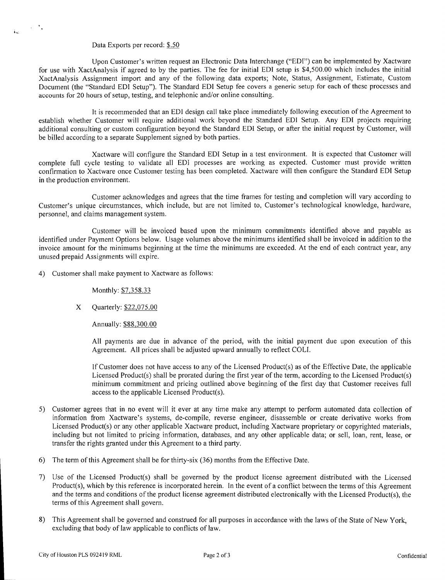## Data Exports per record: *\$.50*

 $\sim 10^{-4}$  c

 $\mathbf{L}$ 

Upon Customer's written request an Electronic Data Interchange ("EDT") can be implemented by Xactware for use with XactAnalysis if agreed to by the parties. The fee for initial EDT setup is \$4,500.00 which includes the initial XactAnalysis Assignment import and any of the following data exports; Note, Status, Assignment, Estimate, Custom Document (the "Standard EDT Setup"). The Standard EDI Setup fee covers a generic setup for each of these processes and accounts for 20 hours of setup, testing, and telephonic and/or online consulting.

It is recommended that an EDI design call take place immediately following execution of the Agreement to establish whether Customer will require additional work beyond the Standard EDI Setup. Any EDT projects requiring additional consulting or custom configuration beyond the Standard EDT Setup, or after the initial request by Customer, will be billed according to a separate Supplement signed by both parties.

Xactware will configure the Standard EDT Setup in a test environment. It is expected that Customer will complete full cycle testing to validate all EDI processes are working as expected. Customer must provide written confirmation to Xactware once Customer testing has been completed. Xactware will then configure the Standard EDI Setup in the production environment.

Customer acknowledges and agrees that the time frames for testing and completion will vary according to Customer's unique circumstances, which include, but are not limited to, Customer's technological knowledge, hardware, personnel, and claims management system.

Customer will be invoiced based upon the minimum commitments identified above and payable as identified under Payment Options below. Usage volumes above the minimums identified shall be invoiced in addition to the invoice amount for the minimums beginning at the time the minimums are exceeded. At the end of each contract year, any unused prepaid Assignments will expire.

4) Customer shall make payment to Xactware as follows:

*Monthly: \$7,358.33* 

X Quarterly: *\$22,075.OQ* 

Annually: \$88,300.00

All payments are due in advance of the period, with the initial payment due upon execution of this Agreement. All prices shall be adjusted upward annually to reflect COLT.

If Customer does not have access to any of the Licensed Product(s) as of the Effective Date, the applicable Licensed Product(s) shall be prorated during the first year of the term, according to the Licensed Product(s) minimum commitment and pricing outlined above beginning of the first day that Customer receives full access to the applicable Licensed Product(s).

- 5) Customer agrees that in no event will it ever at any time make any attempt to perform automated data collection of information from Xactware's systems, de-compile, reverse engineer, disassemble or create derivative works from Licensed Product(s) or any other applicable Xactware product, including Xactware proprietary or copyrighted materials, including but not limited to pricing information, databases, and any other applicable data; or sell, loan, rent, lease, or transfer the rights granted under this Agreement to a third party.
- 6) The term of this Agreement shall be for thirty-six (36) months from the Effective Date.
- 7) Use of the Licensed Product(s) shall be governed by the product license agreement distributed with the Licensed Product(s), which by this reference is incorporated herein. In the event of a conflict between the terms of this Agreement and the terms and conditions of the product license agreement distributed electronically with the Licensed Product(s), the terms of this Agreement shall govern.
- 8) This Agreement shall be governed and construed for all purposes in accordance with the laws of the State of New York, excluding that body of law applicable to conflicts of law.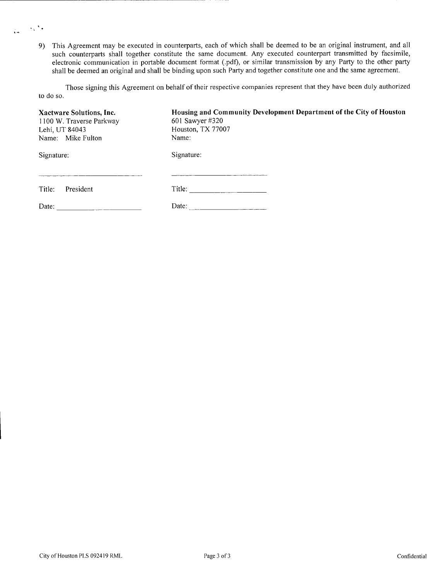9) This Agreement may be executed in counterparts, each of which shall be deemed to be an original instrument, and all such counterparts shall together constitute the same document. Any executed counterpart transmitted by facsimile, electronic communication in portable document format (.pdf), or similar transmission by any Party to the other party shall be deemed an original and shall be binding upon such Party and together constitute one and the same agreement.

Those signing this Agreement on behalf of their respective companies represent that they have been duly authorized to do so.

| Xactware Solutions, Inc.<br>1100 W. Traverse Parkway<br>Lehi, UT 84043 | Housing and Community Development Department of the City of Houston<br>601 Sawyer #320<br>Houston, TX 77007 |  |  |
|------------------------------------------------------------------------|-------------------------------------------------------------------------------------------------------------|--|--|
| Name: Mike Fulton                                                      | Name:                                                                                                       |  |  |
| Signature:                                                             | Signature:                                                                                                  |  |  |
| Title:<br>President                                                    | Title:                                                                                                      |  |  |
| Date:                                                                  | Date:                                                                                                       |  |  |

 $\alpha_{\rm s}$  ) .

 $\mathbf{A}$